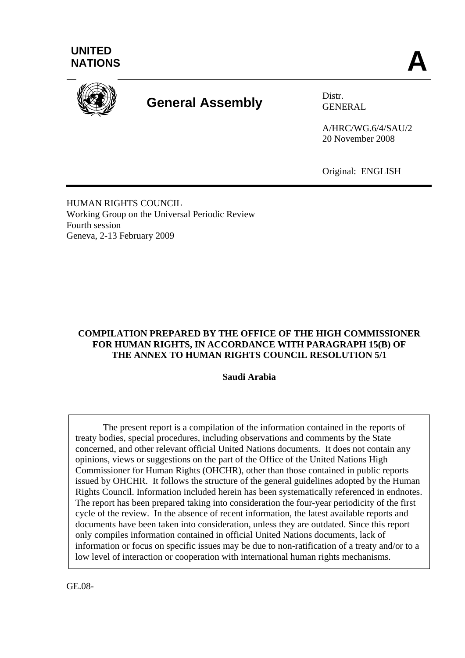



# **General Assembly** Distr.

GENERAL

A/HRC/WG.6/4/SAU/2 20 November 2008

Original: ENGLISH

HUMAN RIGHTS COUNCIL Working Group on the Universal Periodic Review Fourth session Geneva, 2-13 February 2009

## **COMPILATION PREPARED BY THE OFFICE OF THE HIGH COMMISSIONER FOR HUMAN RIGHTS, IN ACCORDANCE WITH PARAGRAPH 15(B) OF THE ANNEX TO HUMAN RIGHTS COUNCIL RESOLUTION 5/1**

**Saudi Arabia** 

 The present report is a compilation of the information contained in the reports of treaty bodies, special procedures, including observations and comments by the State concerned, and other relevant official United Nations documents. It does not contain any opinions, views or suggestions on the part of the Office of the United Nations High Commissioner for Human Rights (OHCHR), other than those contained in public reports issued by OHCHR. It follows the structure of the general guidelines adopted by the Human Rights Council. Information included herein has been systematically referenced in endnotes. The report has been prepared taking into consideration the four-year periodicity of the first cycle of the review. In the absence of recent information, the latest available reports and documents have been taken into consideration, unless they are outdated. Since this report only compiles information contained in official United Nations documents, lack of information or focus on specific issues may be due to non-ratification of a treaty and/or to a low level of interaction or cooperation with international human rights mechanisms.

GE.08-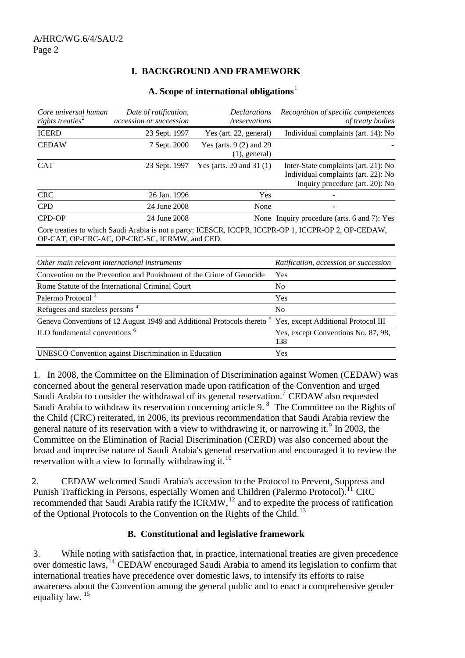# **I. BACKGROUND AND FRAMEWORK**

|  |  |  |  |  | A. Scope of international obligations <sup>1</sup> |  |
|--|--|--|--|--|----------------------------------------------------|--|
|  |  |  |  |  |                                                    |  |

| Core universal human<br>rights treaties <sup>2</sup> | Date of ratification,<br>accession or succession | <b>Declarations</b><br>/reservations         | Recognition of specific competences<br>of treaty bodies                                                        |
|------------------------------------------------------|--------------------------------------------------|----------------------------------------------|----------------------------------------------------------------------------------------------------------------|
| <b>ICERD</b>                                         | 23 Sept. 1997                                    | Yes (art. 22, general)                       | Individual complaints (art. 14): No                                                                            |
| <b>CEDAW</b>                                         | 7 Sept. 2000                                     | Yes (arts. $9(2)$ and 29<br>$(1)$ , general) |                                                                                                                |
| <b>CAT</b>                                           | 23 Sept. 1997                                    | Yes (arts. 20 and 31 $(1)$ )                 | Inter-State complaints (art. 21): No<br>Individual complaints (art. 22): No<br>Inquiry procedure (art. 20): No |
| <b>CRC</b>                                           | 26 Jan. 1996                                     | Yes                                          |                                                                                                                |
| <b>CPD</b>                                           | 24 June 2008                                     | None                                         |                                                                                                                |
| CPD-OP                                               | 24 June 2008                                     |                                              | None Inquiry procedure (arts. 6 and 7): Yes                                                                    |
|                                                      | OP-CAT, OP-CRC-AC, OP-CRC-SC, ICRMW, and CED.    |                                              | Core treaties to which Saudi Arabia is not a party: ICESCR, ICCPR, ICCPR-OP 1, ICCPR-OP 2, OP-CEDAW,           |
|                                                      |                                                  |                                              |                                                                                                                |

| Other main relevant international instruments                                                                          | Ratification, accession or succession      |
|------------------------------------------------------------------------------------------------------------------------|--------------------------------------------|
| Convention on the Prevention and Punishment of the Crime of Genocide                                                   | Yes                                        |
| Rome Statute of the International Criminal Court                                                                       | N <sub>0</sub>                             |
| Palermo Protocol <sup>3</sup>                                                                                          | Yes                                        |
| Refugees and stateless persons <sup>4</sup>                                                                            | N <sub>0</sub>                             |
| Geneva Conventions of 12 August 1949 and Additional Protocols thereto <sup>5</sup> Yes, except Additional Protocol III |                                            |
| ILO fundamental conventions <sup>6</sup>                                                                               | Yes, except Conventions No. 87, 98,<br>138 |
| <b>UNESCO</b> Convention against Discrimination in Education                                                           | <b>Yes</b>                                 |

1. In 2008, the Committee on the Elimination of Discrimination against Women (CEDAW) was concerned about the general reservation made upon ratification of the Convention and urged Saudi Arabia to consider the withdrawal of its general reservation.<sup>[7](#page-15-1)</sup> CEDAW also requested Saudi Arabia to withdraw its reservation concerning article 9.<sup>[8](#page-15-1)</sup> The Committee on the Rights of the Child (CRC) reiterated, in 2006, its previous recommendation that Saudi Arabia review the general nature of its reservation with a view to withdrawing it, or narrowing it.<sup>[9](#page-15-1)</sup> In 2003, the Committee on the Elimination of Racial Discrimination (CERD) was also concerned about the broad and imprecise nature of Saudi Arabia's general reservation and encouraged it to review the reservation with a view to formally withdrawing it.<sup>[10](#page-15-1)</sup>

2. CEDAW welcomed Saudi Arabia's accession to the Protocol to Prevent, Suppress and Punish Trafficking in Persons, especially Women and Children (Palermo Protocol).<sup>[11](#page-15-1)</sup> CRC recommended that Saudi Arabia ratify the ICRMW, $12$  and to expedite the process of ratification of the Optional Protocols to the Convention on the Rights of the Child.[13](#page-15-1)

## **B. Constitutional and legislative framework**

3. While noting with satisfaction that, in practice, international treaties are given precedence over domestic laws,[14](#page-15-1) CEDAW encouraged Saudi Arabia to amend its legislation to confirm that international treaties have precedence over domestic laws, to intensify its efforts to raise awareness about the Convention among the general public and to enact a comprehensive gender equality law. [15](#page-15-1)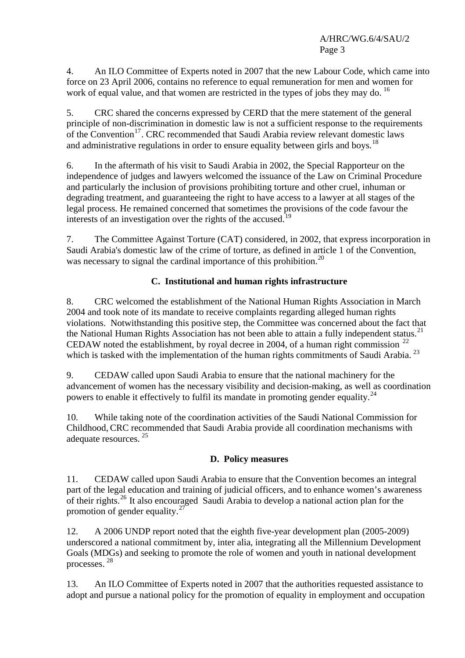4. An ILO Committee of Experts noted in 2007 that the new Labour Code, which came into force on 23 April 2006, contains no reference to equal remuneration for men and women for work of equal value, and that women are restricted in the types of jobs they may do.  $^{16}$  $^{16}$  $^{16}$ 

5. CRC shared the concerns expressed by CERD that the mere statement of the general principle of non-discrimination in domestic law is not a sufficient response to the requirements of the Convention<sup>[17](#page-15-1)</sup>. CRC recommended that Saudi Arabia review relevant domestic laws and administrative regulations in order to ensure equality between girls and boys.<sup>[18](#page-15-1)</sup>

6. In the aftermath of his visit to Saudi Arabia in 2002, the Special Rapporteur on the independence of judges and lawyers welcomed the issuance of the Law on Criminal Procedure and particularly the inclusion of provisions prohibiting torture and other cruel, inhuman or degrading treatment, and guaranteeing the right to have access to a lawyer at all stages of the legal process. He remained concerned that sometimes the provisions of the code favour the interests of an investigation over the rights of the accused.<sup>1</sup>

7. The Committee Against Torture (CAT) considered, in 2002, that express incorporation in Saudi Arabia's domestic law of the crime of torture, as defined in article 1 of the Convention, was necessary to signal the cardinal importance of this prohibition.<sup>[20](#page-15-1)</sup>

# **C. Institutional and human rights infrastructure**

8. CRC welcomed the establishment of the National Human Rights Association in March 2004 and took note of its mandate to receive complaints regarding alleged human rights violations. Notwithstanding this positive step, the Committee was concerned about the fact that the National Human Rights Association has not been able to attain a fully independent status.<sup>[21](#page-15-1)</sup> CEDAW noted the establishment, by royal decree in 2004, of a human right commission  $^{22}$  $^{22}$  $^{22}$ which is tasked with the implementation of the human rights commitments of Saudi Arabia.<sup>[23](#page-15-1)</sup>

9. CEDAW called upon Saudi Arabia to ensure that the national machinery for the advancement of women has the necessary visibility and decision-making, as well as coordination powers to enable it effectively to fulfil its mandate in promoting gender equality.<sup>[24](#page-15-1)</sup>

10. While taking note of the coordination activities of the Saudi National Commission for Childhood,CRC recommended that Saudi Arabia provide all coordination mechanisms with adequate resources.<sup>[25](#page-15-1)</sup>

## **D. Policy measures**

11. CEDAW called upon Saudi Arabia to ensure that the Convention becomes an integral part of the legal education and training of judicial officers, and to enhance women's awareness of their rights.[26](#page-15-1) It also encouraged Saudi Arabia to develop a national action plan for the promotion of gender equality. $27$ 

12. A 2006 UNDP report noted that the eighth five-year development plan (2005-2009) underscored a national commitment by, inter alia, integrating all the Millennium Development Goals (MDGs) and seeking to promote the role of women and youth in national development processes. [28](#page-15-1)

13. An ILO Committee of Experts noted in 2007 that the authorities requested assistance to adopt and pursue a national policy for the promotion of equality in employment and occupation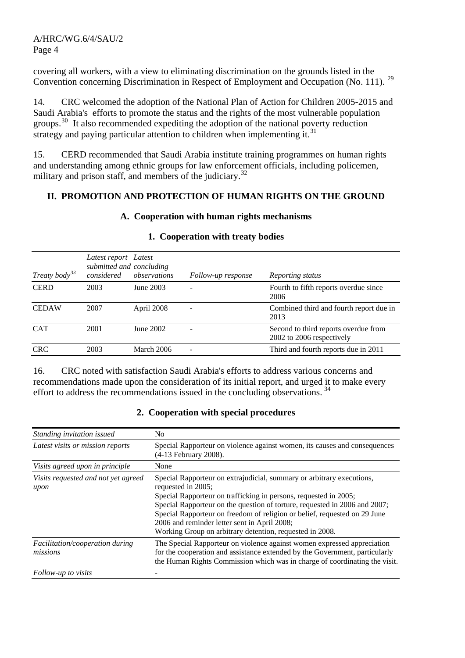covering all workers, with a view to eliminating discrimination on the grounds listed in the Convention concerning Discrimination in Respect of Employment and Occupation (No. 111). <sup>[29](#page-15-1)</sup>

14. CRC welcomed the adoption of the National Plan of Action for Children 2005-2015 and Saudi Arabia's efforts to promote the status and the rights of the most vulnerable population groups.<sup>[30](#page-15-1)</sup> It also recommended expediting the adoption of the national poverty reduction strategy and paying particular attention to children when implementing it.<sup>[31](#page-15-1)</sup>

15. CERD recommended that Saudi Arabia institute training programmes on human rights and understanding among ethnic groups for law enforcement officials, including policemen, military and prison staff, and members of the judiciary.<sup>[32](#page-15-1)</sup>

#### **II. PROMOTION AND PROTECTION OF HUMAN RIGHTS ON THE GROUND**

#### **A. Cooperation with human rights mechanisms**

| Treaty body <sup>33</sup> | Latest report Latest<br>considered | submitted and concluding<br>observations | Follow-up response | Reporting status                                                  |
|---------------------------|------------------------------------|------------------------------------------|--------------------|-------------------------------------------------------------------|
| <b>CERD</b>               | 2003                               | June 2003                                |                    | Fourth to fifth reports overdue since<br>2006                     |
| <b>CEDAW</b>              | 2007                               | April 2008                               | $\qquad \qquad -$  | Combined third and fourth report due in<br>2013                   |
| <b>CAT</b>                | 2001                               | June 2002                                | -                  | Second to third reports overdue from<br>2002 to 2006 respectively |
| <b>CRC</b>                | 2003                               | March 2006                               |                    | Third and fourth reports due in 2011                              |

#### **1. Cooperation with treaty bodies**

16. CRC noted with satisfaction Saudi Arabia's efforts to address various concerns and recommendations made upon the consideration of its initial report, and urged it to make every effort to address the recommendations issued in the concluding observations.<sup>[34](#page-15-1)</sup>

#### **2. Cooperation with special procedures**

| Standing invitation issued                  | N <sub>0</sub>                                                                                                                                                                                                                                                                                                                                                                                                                         |  |  |
|---------------------------------------------|----------------------------------------------------------------------------------------------------------------------------------------------------------------------------------------------------------------------------------------------------------------------------------------------------------------------------------------------------------------------------------------------------------------------------------------|--|--|
| Latest visits or mission reports            | Special Rapporteur on violence against women, its causes and consequences<br>(4-13 February 2008).                                                                                                                                                                                                                                                                                                                                     |  |  |
| Visits agreed upon in principle             | None                                                                                                                                                                                                                                                                                                                                                                                                                                   |  |  |
| Visits requested and not yet agreed<br>upon | Special Rapporteur on extrajudicial, summary or arbitrary executions,<br>requested in 2005;<br>Special Rapporteur on trafficking in persons, requested in 2005;<br>Special Rapporteur on the question of torture, requested in 2006 and 2007;<br>Special Rapporteur on freedom of religion or belief, requested on 29 June<br>2006 and reminder letter sent in April 2008;<br>Working Group on arbitrary detention, requested in 2008. |  |  |
| Facilitation/cooperation during<br>missions | The Special Rapporteur on violence against women expressed appreciation<br>for the cooperation and assistance extended by the Government, particularly<br>the Human Rights Commission which was in charge of coordinating the visit.                                                                                                                                                                                                   |  |  |
| Follow-up to visits                         |                                                                                                                                                                                                                                                                                                                                                                                                                                        |  |  |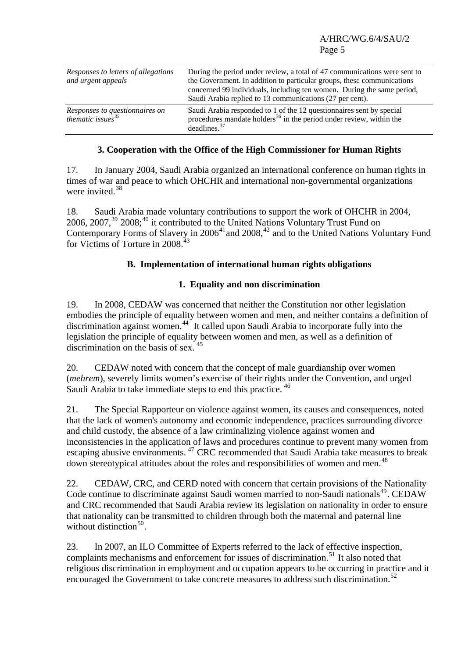| Responses to letters of allegations<br>and urgent appeals | During the period under review, a total of 47 communications were sent to<br>the Government. In addition to particular groups, these communications<br>concerned 99 individuals, including ten women. During the same period,<br>Saudi Arabia replied to 13 communications (27 per cent). |
|-----------------------------------------------------------|-------------------------------------------------------------------------------------------------------------------------------------------------------------------------------------------------------------------------------------------------------------------------------------------|
| Responses to questionnaires on<br>thematic issues $35$    | Saudi Arabia responded to 1 of the 12 question aires sent by special<br>procedures mandate holders <sup>36</sup> in the period under review, within the<br>deadlines. <sup>37</sup>                                                                                                       |

## **3. Cooperation with the Office of the High Commissioner for Human Rights**

17. In January 2004, Saudi Arabia organized an international conference on human rights in times of war and peace to which OHCHR and international non-governmental organizations were invited. $38$ 

18. Saudi Arabia made voluntary contributions to support the work of OHCHR in 2004,  $2006, 2007, <sup>39</sup> 2008; <sup>40</sup>$  $2006, 2007, <sup>39</sup> 2008; <sup>40</sup>$  $2006, 2007, <sup>39</sup> 2008; <sup>40</sup>$  $2006, 2007, <sup>39</sup> 2008; <sup>40</sup>$  $2006, 2007, <sup>39</sup> 2008; <sup>40</sup>$  it contributed to the United Nations Voluntary Trust Fund on Contemporary Forms of Slavery in  $2006<sup>41</sup>$  $2006<sup>41</sup>$  $2006<sup>41</sup>$  and  $2008<sup>42</sup>$  $2008<sup>42</sup>$  $2008<sup>42</sup>$  and to the United Nations Voluntary Fund for Victims of Torture in 2008.<sup>[43](#page-15-1)</sup>

## **B. Implementation of international human rights obligations**

## **1. Equality and non discrimination**

19. In 2008, CEDAW was concerned that neither the Constitution nor other legislation embodies the principle of equality between women and men, and neither contains a definition of discrimination against women.<sup>[44](#page-15-1)</sup> It called upon Saudi Arabia to incorporate fully into the legislation the principle of equality between women and men, as well as a definition of discrimination on the basis of sex<sup>[45](#page-15-1)</sup>

20. CEDAW noted with concern that the concept of male guardianship over women (*mehrem*), severely limits women's exercise of their rights under the Convention, and urged Saudi Arabia to take immediate steps to end this practice.<sup>[46](#page-15-1)</sup>

21. The Special Rapporteur on violence against women, its causes and consequences, noted that the lack of women's autonomy and economic independence, practices surrounding divorce and child custody, the absence of a law criminalizing violence against women and inconsistencies in the application of laws and procedures continue to prevent many women from escaping abusive environments. <sup>[47](#page-15-1)</sup> CRC recommended that Saudi Arabia take measures to break down stereotypical attitudes about the roles and responsibilities of women and men.<sup>[48](#page-15-1)</sup>

22. CEDAW, CRC, and CERD noted with concern that certain provisions of the Nationality Code continue to discriminate against Saudi women married to non-Saudi nationals<sup>[49](#page-15-1)</sup>. CEDAW and CRC recommended that Saudi Arabia review its legislation on nationality in order to ensure that nationality can be transmitted to children through both the maternal and paternal line without distinction $50$ .

23. In 2007, an ILO Committee of Experts referred to the lack of effective inspection, complaints mechanisms and enforcement for issues of discrimination.<sup>[51](#page-15-1)</sup> It also noted that religious discrimination in employment and occupation appears to be occurring in practice and it encouraged the Government to take concrete measures to address such discrimination.<sup>[52](#page-15-1)</sup>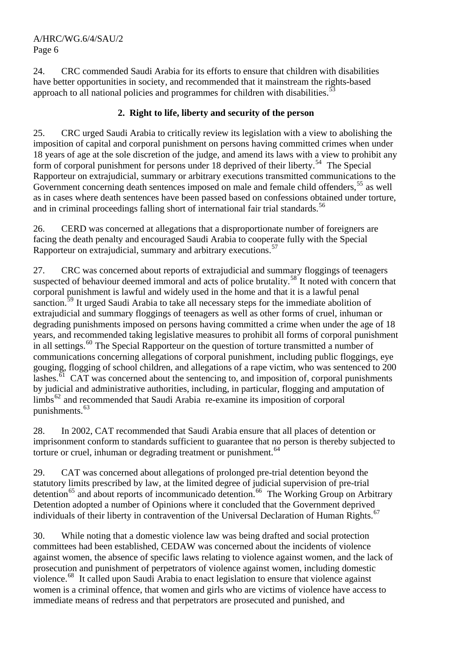24. CRC commended Saudi Arabia for its efforts to ensure that children with disabilities have better opportunities in society, and recommended that it mainstream the rights-based approach to all national policies and programmes for children with disabilities.<sup>[53](#page-15-1)</sup>

# **2. Right to life, liberty and security of the person**

25. CRC urged Saudi Arabia to critically review its legislation with a view to abolishing the imposition of capital and corporal punishment on persons having committed crimes when under 18 years of age at the sole discretion of the judge, and amend its laws with a view to prohibit any form of corporal punishment for persons under 18 deprived of their liberty.<sup>[54](#page-15-1)</sup> The Special Rapporteur on extrajudicial, summary or arbitrary executions transmitted communications to the Government concerning death sentences imposed on male and female child offenders,<sup>[55](#page-15-1)</sup> as well as in cases where death sentences have been passed based on confessions obtained under torture, and in criminal proceedings falling short of international fair trial standards.<sup>[56](#page-15-1)</sup>

26. CERD was concerned at allegations that a disproportionate number of foreigners are facing the death penalty and encouraged Saudi Arabia to cooperate fully with the Special Rapporteur on extrajudicial, summary and arbitrary executions.<sup>[57](#page-15-1)</sup>

27. CRC was concerned about reports of extrajudicial and summary floggings of teenagers suspected of behaviour deemed immoral and acts of police brutality.<sup>[58](#page-15-1)</sup> It noted with concern that corporal punishment is lawful and widely used in the home and that it is a lawful penal sanction.<sup>[59](#page-15-1)</sup> It urged Saudi Arabia to take all necessary steps for the immediate abolition of extrajudicial and summary floggings of teenagers as well as other forms of cruel, inhuman or degrading punishments imposed on persons having committed a crime when under the age of 18 years, and recommended taking legislative measures to prohibit all forms of corporal punishment in all settings.<sup>[60](#page-15-1)</sup> The Special Rapporteur on the question of torture transmitted a number of communications concerning allegations of corporal punishment, including public floggings, eye gouging, flogging of school children, and allegations of a rape victim, who was sentenced to 200 lashes.<sup>[61](#page-15-1)</sup> CAT was concerned about the sentencing to, and imposition of, corporal punishments by judicial and administrative authorities, including, in particular, flogging and amputation of  $\lim_{x \to \infty}$  and recommended that Saudi Arabia re-examine its imposition of corporal punishments. $63$ 

28. In 2002, CAT recommended that Saudi Arabia ensure that all places of detention or imprisonment conform to standards sufficient to guarantee that no person is thereby subjected to torture or cruel, inhuman or degrading treatment or punishment.<sup>[64](#page-15-1)</sup>

29. CAT was concerned about allegations of prolonged pre-trial detention beyond the statutory limits prescribed by law, at the limited degree of judicial supervision of pre-trial  $\det$  detention<sup>[65](#page-15-1)</sup> and about reports of incommunicado detention.<sup>[66](#page-15-1)</sup> The Working Group on Arbitrary Detention adopted a number of Opinions where it concluded that the Government deprived individuals of their liberty in contravention of the Universal Declaration of Human Rights.<sup>[67](#page-15-1)</sup>

30. While noting that a domestic violence law was being drafted and social protection committees had been established, CEDAW was concerned about the incidents of violence against women, the absence of specific laws relating to violence against women, and the lack of prosecution and punishment of perpetrators of violence against women, including domestic violence.[68](#page-15-1) It called upon Saudi Arabia to enact legislation to ensure that violence against women is a criminal offence, that women and girls who are victims of violence have access to immediate means of redress and that perpetrators are prosecuted and punished, and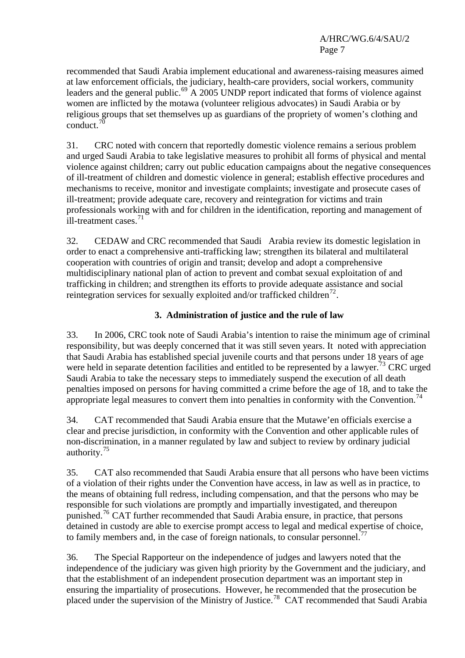recommended that Saudi Arabia implement educational and awareness-raising measures aimed at law enforcement officials, the judiciary, health-care providers, social workers, community leaders and the general public.<sup>[69](#page-15-1)</sup> A 2005 UNDP report indicated that forms of violence against women are inflicted by the motawa (volunteer religious advocates) in Saudi Arabia or by religious groups that set themselves up as guardians of the propriety of women's clothing and conduct. $7$ 

31. CRC noted with concern that reportedly domestic violence remains a serious problem and urged Saudi Arabia to take legislative measures to prohibit all forms of physical and mental violence against children; carry out public education campaigns about the negative consequences of ill-treatment of children and domestic violence in general; establish effective procedures and mechanisms to receive, monitor and investigate complaints; investigate and prosecute cases of ill-treatment; provide adequate care, recovery and reintegration for victims and train professionals working with and for children in the identification, reporting and management of ill-treatment cases.<sup>[71](#page-15-1)</sup>

32. CEDAW and CRC recommended that Saudi Arabia review its domestic legislation in order to enact a comprehensive anti-trafficking law; strengthen its bilateral and multilateral cooperation with countries of origin and transit; develop and adopt a comprehensive multidisciplinary national plan of action to prevent and combat sexual exploitation of and trafficking in children; and strengthen its efforts to provide adequate assistance and social reintegration services for sexually exploited and/or trafficked children<sup>[72](#page-15-1)</sup>.

## **3. Administration of justice and the rule of law**

33. In 2006, CRC took note of Saudi Arabia's intention to raise the minimum age of criminal responsibility, but was deeply concerned that it was still seven years. It noted with appreciation that Saudi Arabia has established special juvenile courts and that persons under 18 years of age were held in separate detention facilities and entitled to be represented by a lawyer.<sup>[73](#page-15-1)</sup> CRC urged Saudi Arabia to take the necessary steps to immediately suspend the execution of all death penalties imposed on persons for having committed a crime before the age of 18, and to take the appropriate legal measures to convert them into penalties in conformity with the Convention.<sup>[74](#page-15-1)</sup>

34. CAT recommended that Saudi Arabia ensure that the Mutawe'en officials exercise a clear and precise jurisdiction, in conformity with the Convention and other applicable rules of non-discrimination, in a manner regulated by law and subject to review by ordinary judicial authority.<sup>[75](#page-15-1)</sup>

35. CAT also recommended that Saudi Arabia ensure that all persons who have been victims of a violation of their rights under the Convention have access, in law as well as in practice, to the means of obtaining full redress, including compensation, and that the persons who may be responsible for such violations are promptly and impartially investigated, and thereupon punished.<sup>[76](#page-15-1)</sup> CAT further recommended that Saudi Arabia ensure, in practice, that persons detained in custody are able to exercise prompt access to legal and medical expertise of choice, to family members and, in the case of foreign nationals, to consular personnel.<sup>[77](#page-15-1)</sup>

36. The Special Rapporteur on the independence of judges and lawyers noted that the independence of the judiciary was given high priority by the Government and the judiciary, and that the establishment of an independent prosecution department was an important step in ensuring the impartiality of prosecutions. However, he recommended that the prosecution be placed under the supervision of the Ministry of Justice.[78](#page-15-1) CAT recommended that Saudi Arabia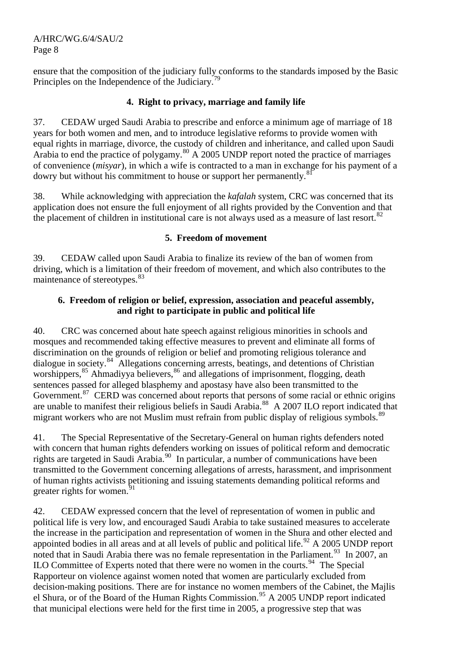ensure that the composition of the judiciary fully conforms to the standards imposed by the Basic Principles on the Independence of the Judiciary.<sup>[79](#page-15-1)</sup>

## **4. Right to privacy, marriage and family life**

37. CEDAW urged Saudi Arabia to prescribe and enforce a minimum age of marriage of 18 years for both women and men, and to introduce legislative reforms to provide women with equal rights in marriage, divorce, the custody of children and inheritance, and called upon Saudi Arabia to end the practice of polygamy.[80](#page-15-1) A 2005 UNDP report noted the practice of marriages of convenience (*misyar*), in which a wife is contracted to a man in exchange for his payment of a dowry but without his commitment to house or support her permanently.<sup>[81](#page-15-1)</sup>

38. While acknowledging with appreciation the *kafalah* system, CRC was concerned that its application does not ensure the full enjoyment of all rights provided by the Convention and that the placement of children in institutional care is not always used as a measure of last resort.<sup>[82](#page-15-1)</sup>

## **5. Freedom of movement**

39. CEDAW called upon Saudi Arabia to finalize its review of the ban of women from driving, which is a limitation of their freedom of movement, and which also contributes to the maintenance of stereotypes.<sup>[83](#page-15-1)</sup>

## **6. Freedom of religion or belief, expression, association and peaceful assembly, and right to participate in public and political life**

40. CRC was concerned about hate speech against religious minorities in schools and mosques and recommended taking effective measures to prevent and eliminate all forms of discrimination on the grounds of religion or belief and promoting religious tolerance and dialogue in society.<sup>[84](#page-15-1)</sup> Allegations concerning arrests, beatings, and detentions of Christian worshippers,<sup>[85](#page-15-1)</sup> Ahmadiyya believers,<sup>[86](#page-15-1)</sup> and allegations of imprisonment, flogging, death sentences passed for alleged blasphemy and apostasy have also been transmitted to the Government.<sup>[87](#page-15-1)</sup> CERD was concerned about reports that persons of some racial or ethnic origins are unable to manifest their religious beliefs in Saudi Arabia.[88](#page-15-1) A 2007 ILO report indicated that migrant workers who are not Muslim must refrain from public display of religious symbols.<sup>[89](#page-15-1)</sup>

41. The Special Representative of the Secretary-General on human rights defenders noted with concern that human rights defenders working on issues of political reform and democratic rights are targeted in Saudi Arabia.<sup>[90](#page-15-1)</sup> In particular, a number of communications have been transmitted to the Government concerning allegations of arrests, harassment, and imprisonment of human rights activists petitioning and issuing statements demanding political reforms and greater rights for women.<sup>9</sup>

42. CEDAW expressed concern that the level of representation of women in public and political life is very low, and encouraged Saudi Arabia to take sustained measures to accelerate the increase in the participation and representation of women in the Shura and other elected and appointed bodies in all areas and at all levels of public and political life.<sup>[92](#page-15-1)</sup> A 2005 UNDP report noted that in Saudi Arabia there was no female representation in the Parliament.<sup>[93](#page-15-1)</sup> In 2007, an ILO Committee of Experts noted that there were no women in the courts.<sup>[94](#page-15-1)</sup> The Special Rapporteur on violence against women noted that women are particularly excluded from decision-making positions. There are for instance no women members of the Cabinet, the Majlis el Shura, or of the Board of the Human Rights Commission.<sup>[95](#page-15-1)</sup> A 2005 UNDP report indicated that municipal elections were held for the first time in 2005, a progressive step that was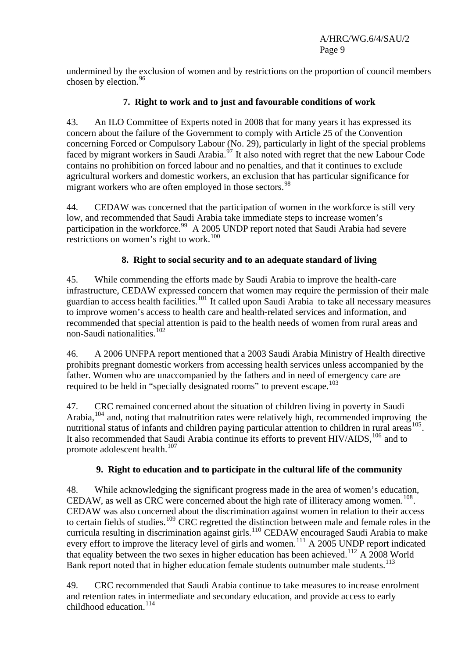undermined by the exclusion of women and by restrictions on the proportion of council members chosen by election.<sup>[96](#page-15-1)</sup>

## **7. Right to work and to just and favourable conditions of work**

43. An ILO Committee of Experts noted in 2008 that for many years it has expressed its concern about the failure of the Government to comply with Article 25 of the Convention concerning Forced or Compulsory Labour (No. 29), particularly in light of the special problems faced by migrant workers in Saudi Arabia.<sup>[97](#page-15-1)</sup> It also noted with regret that the new Labour Code contains no prohibition on forced labour and no penalties, and that it continues to exclude agricultural workers and domestic workers, an exclusion that has particular significance for migrant workers who are often employed in those sectors.<sup>[98](#page-15-1)</sup>

44. CEDAW was concerned that the participation of women in the workforce is still very low, and recommended that Saudi Arabia take immediate steps to increase women's participation in the workforce.<sup>[99](#page-15-1)</sup> A 2005 UNDP report noted that Saudi Arabia had severe restrictions on women's right to work.<sup>[100](#page-15-1)</sup>

## **8. Right to social security and to an adequate standard of living**

45. While commending the efforts made by Saudi Arabia to improve the health-care infrastructure, CEDAW expressed concern that women may require the permission of their male guardian to access health facilities.<sup>[101](#page-15-1)</sup> It called upon Saudi Arabia to take all necessary measures to improve women's access to health care and health-related services and information, and recommended that special attention is paid to the health needs of women from rural areas and non-Saudi nationalities.[102](#page-15-1)

46. A 2006 UNFPA report mentioned that a 2003 Saudi Arabia Ministry of Health directive prohibits pregnant domestic workers from accessing health services unless accompanied by the father. Women who are unaccompanied by the fathers and in need of emergency care are required to be held in "specially designated rooms" to prevent escape.<sup>[103](#page-15-1)</sup>

47. CRC remained concerned about the situation of children living in poverty in Saudi Arabia,  $104$  and, noting that malnutrition rates were relatively high, recommended improving the nutritional status of infants and children paying particular attention to children in rural areas  $105$ . It also recommended that Saudi Arabia continue its efforts to prevent HIV/AIDS,<sup>[106](#page-15-1)</sup> and to promote adolescent health.<sup>[107](#page-15-1)</sup>

## **9. Right to education and to participate in the cultural life of the community**

48. While acknowledging the significant progress made in the area of women's education, CEDAW, as well as CRC were concerned about the high rate of illiteracy among women.<sup>[108](#page-15-1)</sup>. CEDAW was also concerned about the discrimination against women in relation to their access to certain fields of studies.<sup>[109](#page-15-1)</sup> CRC regretted the distinction between male and female roles in the curricula resulting in discrimination against girls.<sup>[110](#page-15-1)</sup> CEDAW encouraged Saudi Arabia to make every effort to improve the literacy level of girls and women.<sup>[111](#page-15-1)</sup> A 2005 UNDP report indicated that equality between the two sexes in higher education has been achieved.<sup>[112](#page-15-1)</sup> A 2008 World Bank report noted that in higher education female students outnumber male students.<sup>[113](#page-15-1)</sup>

49. CRC recommended that Saudi Arabia continue to take measures to increase enrolment and retention rates in intermediate and secondary education, and provide access to early childhood education. $114$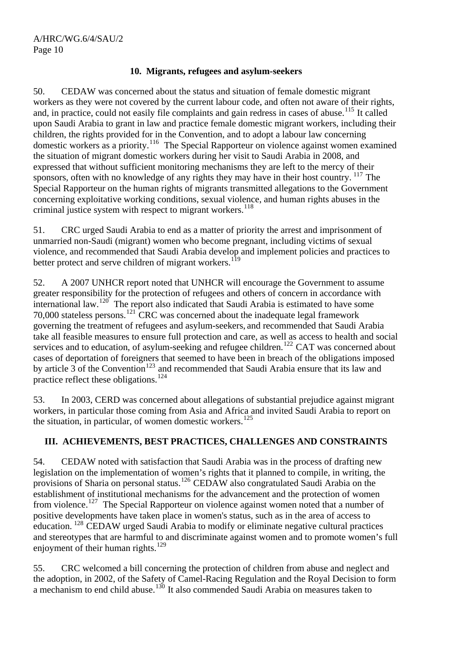## **10. Migrants, refugees and asylum-seekers**

50. CEDAW was concerned about the status and situation of female domestic migrant workers as they were not covered by the current labour code, and often not aware of their rights, and, in practice, could not easily file complaints and gain redress in cases of abuse.<sup>[115](#page-15-1)</sup> It called upon Saudi Arabia to grant in law and practice female domestic migrant workers, including their children, the rights provided for in the Convention, and to adopt a labour law concerning domestic workers as a priority.[116](#page-15-1) The Special Rapporteur on violence against women examined the situation of migrant domestic workers during her visit to Saudi Arabia in 2008, and expressed that without sufficient monitoring mechanisms they are left to the mercy of their sponsors, often with no knowledge of any rights they may have in their host country. <sup>[117](#page-15-1)</sup> The Special Rapporteur on the human rights of migrants transmitted allegations to the Government concerning exploitative working conditions, sexual violence, and human rights abuses in the criminal justice system with respect to migrant workers.<sup>[118](#page-15-1)</sup>

51. CRC urged Saudi Arabia to end as a matter of priority the arrest and imprisonment of unmarried non-Saudi (migrant) women who become pregnant, including victims of sexual violence, and recommended that Saudi Arabia develop and implement policies and practices to better protect and serve children of migrant workers.<sup>[119](#page-15-1)</sup>

52. A 2007 UNHCR report noted that UNHCR will encourage the Government to assume greater responsibility for the protection of refugees and others of concern in accordance with international law.<sup>[120](#page-15-1)</sup> The report also indicated that Saudi Arabia is estimated to have some 70,000 stateless persons.<sup>[121](#page-15-1)</sup> CRC was concerned about the inadequate legal framework governing the treatment of refugees and asylum-seekers, and recommended that Saudi Arabia take all feasible measures to ensure full protection and care, as well as access to health and social services and to education, of asylum-seeking and refugee children.<sup>[122](#page-15-1)</sup> CAT was concerned about cases of deportation of foreigners that seemed to have been in breach of the obligations imposed by article  $\overline{3}$  of the Convention<sup>[123](#page-15-1)</sup> and recommended that Saudi Arabia ensure that its law and practice reflect these obligations.<sup>[124](#page-15-1)</sup>

53. In 2003, CERD was concerned about allegations of substantial prejudice against migrant workers, in particular those coming from Asia and Africa and invited Saudi Arabia to report on the situation, in particular, of women domestic workers.<sup>[125](#page-15-1)</sup>

## **III. ACHIEVEMENTS, BEST PRACTICES, CHALLENGES AND CONSTRAINTS**

54. CEDAW noted with satisfaction that Saudi Arabia was in the process of drafting new legislation on the implementation of women's rights that it planned to compile, in writing, the provisions of Sharia on personal status.[126](#page-15-1) CEDAW also congratulated Saudi Arabia on the establishment of institutional mechanisms for the advancement and the protection of women from violence.[127](#page-15-1) The Special Rapporteur on violence against women noted that a number of positive developments have taken place in women's status, such as in the area of access to education. [128](#page-15-1) CEDAW urged Saudi Arabia to modify or eliminate negative cultural practices and stereotypes that are harmful to and discriminate against women and to promote women's full enjoyment of their human rights. $129$ 

55. CRC welcomed a bill concerning the protection of children from abuse and neglect and the adoption, in 2002, of the Safety of Camel-Racing Regulation and the Royal Decision to form a mechanism to end child abuse.<sup>[130](#page-15-1)</sup> It also commended Saudi Arabia on measures taken to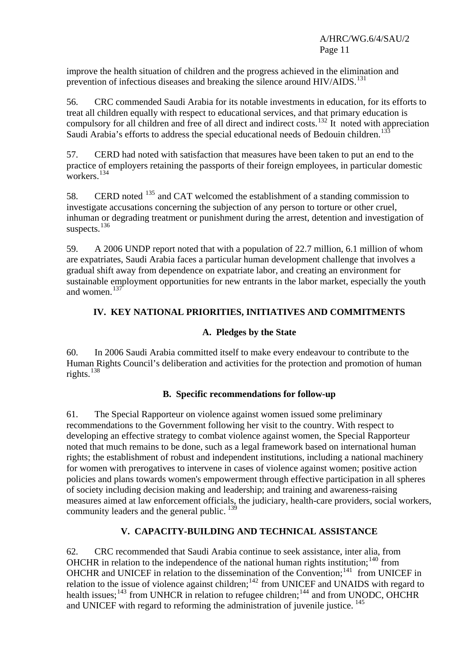improve the health situation of children and the progress achieved in the elimination and prevention of infectious diseases and breaking the silence around  $HIV/ALDS$ <sup>[131](#page-15-1)</sup>

56. CRC commended Saudi Arabia for its notable investments in education, for its efforts to treat all children equally with respect to educational services, and that primary education is compulsory for all children and free of all direct and indirect costs.<sup>[132](#page-15-1)</sup> It noted with appreciation Saudi Arabia's efforts to address the special educational needs of Bedouin children.<sup>13</sup>

57. CERD had noted with satisfaction that measures have been taken to put an end to the practice of employers retaining the passports of their foreign employees, in particular domestic workers.<sup>[134](#page-15-1)</sup>

58. CERD noted <sup>[135](#page-15-1)</sup> and CAT welcomed the establishment of a standing commission to investigate accusations concerning the subjection of any person to torture or other cruel, inhuman or degrading treatment or punishment during the arrest, detention and investigation of suspects.<sup>[136](#page-15-1)</sup>

59. A 2006 UNDP report noted that with a population of 22.7 million, 6.1 million of whom are expatriates, Saudi Arabia faces a particular human development challenge that involves a gradual shift away from dependence on expatriate labor, and creating an environment for sustainable employment opportunities for new entrants in the labor market, especially the youth and women.<sup>[137](#page-15-1)</sup>

# **IV. KEY NATIONAL PRIORITIES, INITIATIVES AND COMMITMENTS**

# **A. Pledges by the State**

60. In 2006 Saudi Arabia committed itself to make every endeavour to contribute to the Human Rights Council's deliberation and activities for the protection and promotion of human rights.<sup>[138](#page-15-1)</sup>

# **B. Specific recommendations for follow-up**

61. The Special Rapporteur on violence against women issued some preliminary recommendations to the Government following her visit to the country. With respect to developing an effective strategy to combat violence against women, the Special Rapporteur noted that much remains to be done, such as a legal framework based on international human rights; the establishment of robust and independent institutions, including a national machinery for women with prerogatives to intervene in cases of violence against women; positive action policies and plans towards women's empowerment through effective participation in all spheres of society including decision making and leadership; and training and awareness-raising measures aimed at law enforcement officials, the judiciary, health-care providers, social workers, community leaders and the general public. <sup>[139](#page-15-1)</sup>

# **V. CAPACITY-BUILDING AND TECHNICAL ASSISTANCE**

62. CRC recommended that Saudi Arabia continue to seek assistance, inter alia, from OHCHR in relation to the independence of the national human rights institution;<sup>[140](#page-15-1)</sup> from OHCHR and UNICEF in relation to the dissemination of the Convention;<sup>[141](#page-15-1)</sup> from UNICEF in relation to the issue of violence against children;<sup>[142](#page-15-1)</sup> from UNICEF and UNAIDS with regard to health issues;<sup>[143](#page-15-1)</sup> from UNHCR in relation to refugee children;<sup>[144](#page-15-1)</sup> and from UNODC, OHCHR and UNICEF with regard to reforming the administration of juvenile justice.<sup>[145](#page-15-1)</sup>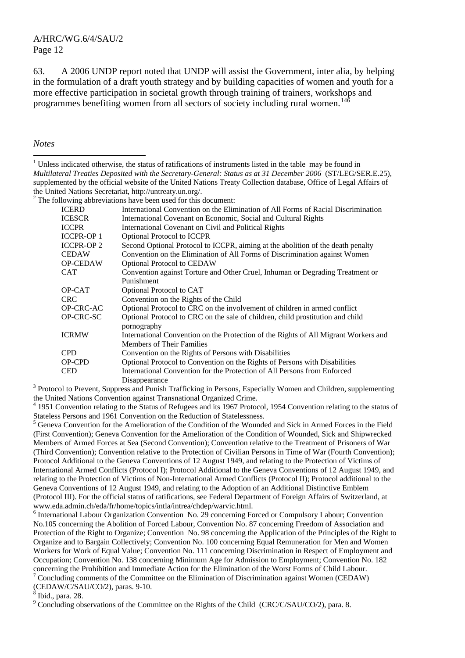63. A 2006 UNDP report noted that UNDP will assist the Government, inter alia, by helping in the formulation of a draft youth strategy and by building capacities of women and youth for a more effective participation in societal growth through training of trainers, workshops and programmes benefiting women from all sectors of society including rural women.<sup>[146](#page-15-1)</sup>

*Notes* 

 $\overline{a}$ 

 $2^2$  The following abbreviations have been used for this document:

| <b>ICERD</b>      | International Convention on the Elimination of All Forms of Racial Discrimination                                          |
|-------------------|----------------------------------------------------------------------------------------------------------------------------|
| <b>ICESCR</b>     | International Covenant on Economic, Social and Cultural Rights                                                             |
| <b>ICCPR</b>      | International Covenant on Civil and Political Rights                                                                       |
| <b>ICCPR-OP 1</b> | <b>Optional Protocol to ICCPR</b>                                                                                          |
| <b>ICCPR-OP2</b>  | Second Optional Protocol to ICCPR, aiming at the abolition of the death penalty                                            |
| <b>CEDAW</b>      | Convention on the Elimination of All Forms of Discrimination against Women                                                 |
| <b>OP-CEDAW</b>   | <b>Optional Protocol to CEDAW</b>                                                                                          |
| <b>CAT</b>        | Convention against Torture and Other Cruel, Inhuman or Degrading Treatment or                                              |
|                   | Punishment                                                                                                                 |
| OP-CAT            | Optional Protocol to CAT                                                                                                   |
| <b>CRC</b>        | Convention on the Rights of the Child                                                                                      |
| <b>OP-CRC-AC</b>  | Optional Protocol to CRC on the involvement of children in armed conflict                                                  |
| OP-CRC-SC         | Optional Protocol to CRC on the sale of children, child prostitution and child                                             |
|                   | pornography                                                                                                                |
| <b>ICRMW</b>      | International Convention on the Protection of the Rights of All Migrant Workers and                                        |
|                   | <b>Members of Their Families</b>                                                                                           |
| <b>CPD</b>        | Convention on the Rights of Persons with Disabilities                                                                      |
| OP-CPD            | Optional Protocol to Convention on the Rights of Persons with Disabilities                                                 |
| <b>CED</b>        | International Convention for the Protection of All Persons from Enforced                                                   |
|                   | Disappearance                                                                                                              |
|                   | <sup>3</sup> Protocol to Prevent, Suppress and Punish Trafficking in Persons, Especially Women and Children, supplementing |

the United Nations Convention against Transnational Organized Crime.

<sup>4</sup> 1951 Convention relating to the Status of Refugees and its 1967 Protocol, 1954 Convention relating to the status of Stateless Persons and 1961 Convention on the Reduction of Statelessness.

<sup>5</sup> Geneva Convention for the Amelioration of the Condition of the Wounded and Sick in Armed Forces in the Field (First Convention); Geneva Convention for the Amelioration of the Condition of Wounded, Sick and Shipwrecked Members of Armed Forces at Sea (Second Convention); Convention relative to the Treatment of Prisoners of War (Third Convention); Convention relative to the Protection of Civilian Persons in Time of War (Fourth Convention); Protocol Additional to the Geneva Conventions of 12 August 1949, and relating to the Protection of Victims of International Armed Conflicts (Protocol I); Protocol Additional to the Geneva Conventions of 12 August 1949, and relating to the Protection of Victims of Non-International Armed Conflicts (Protocol II); Protocol additional to the Geneva Conventions of 12 August 1949, and relating to the Adoption of an Additional Distinctive Emblem (Protocol III). For the official status of ratifications, see Federal Department of Foreign Affairs of Switzerland, at www.eda.admin.ch/eda/fr/home/topics/intla/intrea/chdep/warvic.html. 6

<sup>6</sup> International Labour Organization Convention No. 29 concerning Forced or Compulsory Labour; Convention No.105 concerning the Abolition of Forced Labour, Convention No. 87 concerning Freedom of Association and Protection of the Right to Organize; Convention No. 98 concerning the Application of the Principles of the Right to Organize and to Bargain Collectively; Convention No. 100 concerning Equal Remuneration for Men and Women Workers for Work of Equal Value; Convention No. 111 concerning Discrimination in Respect of Employment and Occupation; Convention No. 138 concerning Minimum Age for Admission to Employment; Convention No. 182 concerning the Prohibition and Immediate Action for the Elimination of the Worst Forms of Child Labour. <sup>7</sup> Concluding comments of the Committee on the Elimination of Discrimination against Women (CEDAW)

(CEDAW/C/SAU/CO/2), paras. 9-10.

8 Ibid., para. 28.

<sup>9</sup> Concluding observations of the Committee on the Rights of the Child (CRC/C/SAU/CO/2), para. 8.

<sup>&</sup>lt;sup>1</sup> Unless indicated otherwise, the status of ratifications of instruments listed in the table may be found in *Multilateral Treaties Deposited with the Secretary-General: Status as at 31 December 2006* (ST/LEG/SER.E.25), supplemented by the official website of the United Nations Treaty Collection database, Office of Legal Affairs of the United Nations Secretariat, http://untreaty.un.org/.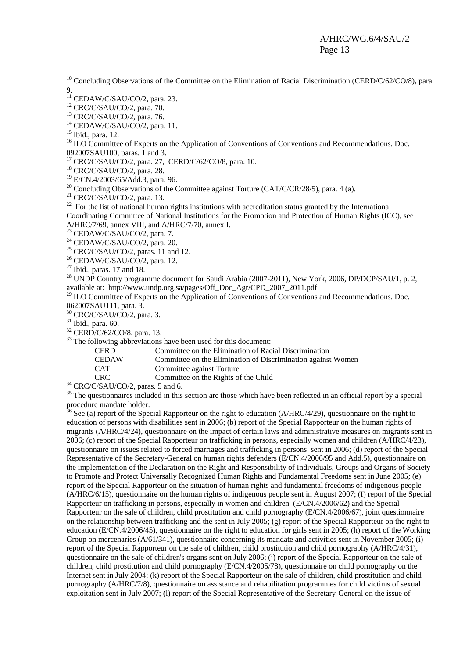<sup>10</sup> Concluding Observations of the Committee on the Elimination of Racial Discrimination (CERD/C/62/CO/8), para. 9.

12 CRC/C/SAU/CO/2, para. 70.

13 CRC/C/SAU/CO/2, para. 76.

 $14$  CEDAW/C/SAU/CO/2, para. 11.

15 Ibid., para. 12.

<sup>16</sup> ILO Committee of Experts on the Application of Conventions of Conventions and Recommendations, Doc. 092007SAU100, paras. 1 and 3.

 $17$  CRC/C/SAU/CO/2, para. 27, CERD/C/62/CO/8, para. 10.

18 CRC/C/SAU/CO/2, para. 28.

19 E/CN.4/2003/65/Add.3, para. 96.

<sup>20</sup> Concluding Observations of the Committee against Torture (CAT/C/CR/28/5), para. 4 (a).

21 CRC/C/SAU/CO/2, para. 13.

<sup>22</sup> For the list of national human rights institutions with accreditation status granted by the International Coordinating Committee of National Institutions for the Promotion and Protection of Human Rights (ICC), see A/HRC/7/69, annex VIII, and A/HRC/7/70, annex I.

 $23$  CEDAW/C/SAU/CO/2, para. 7.

 $24$  CEDAW/C/SAU/CO/2, para. 20.

 $25$  CRC/C/SAU/CO/2, paras. 11 and 12.

26 CEDAW/C/SAU/CO/2, para. 12.

 $27$  Ibid., paras. 17 and 18.

<sup>28</sup> UNDP Country programme document for Saudi Arabia (2007-2011), New York, 2006, DP/DCP/SAU/1, p. 2, available at: [http://www.undp.org.sa/pages/Off\\_Doc\\_Agr/CPD\\_2007\\_2011.pdf.](http://www.undp.org.sa/pages/Off_Doc_Agr/CPD_2007_2011.pdf)<br><sup>29</sup> ILO Committee of Experts on the Application of Conventions of Conventions and Recommendations, Doc.

062007SAU111, para. 3.

30 CRC/C/SAU/CO/2, para. 3.

 $31$  Ibid., para. 60.

 $32$  CERD/C/62/CO/8, para. 13.

<sup>33</sup> The following abbreviations have been used for this document:

CERD Committee on the Elimination of Racial Discrimination

CEDAW Committee on the Elimination of Discrimination against Women

CAT Committee against Torture

CRC Committee on the Rights of the Child 34 CRC/C/SAU/CO/2, paras. 5 and 6.

<sup>35</sup> The questionnaires included in this section are those which have been reflected in an official report by a special procedure mandate holder.

<sup>36</sup> See (a) report of the Special Rapporteur on the right to education (A/HRC/4/29), questionnaire on the right to education of persons with disabilities sent in 2006; (b) report of the Special Rapporteur on the human rights of migrants (A/HRC/4/24), questionnaire on the impact of certain laws and administrative measures on migrants sent in 2006; (c) report of the Special Rapporteur on trafficking in persons, especially women and children (A/HRC/4/23), questionnaire on issues related to forced marriages and trafficking in persons sent in 2006; (d) report of the Special Representative of the Secretary-General on human rights defenders (E/CN.4/2006/95 and Add.5), questionnaire on the implementation of the Declaration on the Right and Responsibility of Individuals, Groups and Organs of Society to Promote and Protect Universally Recognized Human Rights and Fundamental Freedoms sent in June 2005; (e) report of the Special Rapporteur on the situation of human rights and fundamental freedoms of indigenous people (A/HRC/6/15), questionnaire on the human rights of indigenous people sent in August 2007; (f) report of the Special Rapporteur on trafficking in persons, especially in women and children (E/CN.4/2006/62) and the Special Rapporteur on the sale of children, child prostitution and child pornography (E/CN.4/2006/67), joint questionnaire on the relationship between trafficking and the sent in July 2005; (g) report of the Special Rapporteur on the right to education (E/CN.4/2006/45), questionnaire on the right to education for girls sent in 2005; (h) report of the Working Group on mercenaries (A/61/341), questionnaire concerning its mandate and activities sent in November 2005; (i) report of the Special Rapporteur on the sale of children, child prostitution and child pornography (A/HRC/4/31), questionnaire on the sale of children's organs sent on July 2006; (j) report of the Special Rapporteur on the sale of children, child prostitution and child pornography (E/CN.4/2005/78), questionnaire on child pornography on the Internet sent in July 2004; (k) report of the Special Rapporteur on the sale of children, child prostitution and child pornography (A/HRC/7/8), questionnaire on assistance and rehabilitation programmes for child victims of sexual exploitation sent in July 2007; (1) report of the Special Representative of the Secretary-General on the issue of

 $11$  CEDAW/C/SAU/CO/2, para. 23.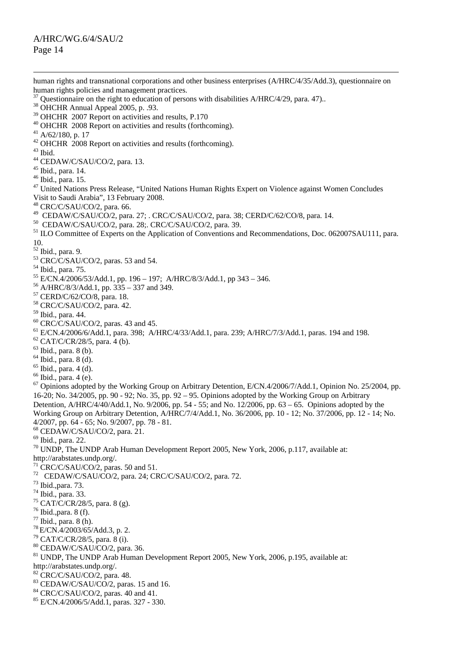human rights and transnational corporations and other business enterprises (A/HRC/4/35/Add.3), questionnaire on human rights policies and management practices.  $37$  Questionnaire on the right to education of persons with disabilities A/HRC/4/29, para. 47).. 38 OHCHR Annual Appeal 2005, p. .93.  $39$  OHCHR 2007 Report on activities and results, P.170 40 OHCHR 2008 Report on activities and results (forthcoming).  $41$  A/62/180, p. 17  $^{42}$  OHCHR  $\overline{2008}$  Report on activities and results (forthcoming).<br> $^{43}$  Ibid <sup>44</sup> CEDAW/C/SAU/CO/2, para. 13. 45 Ibid., para. 14. 46 Ibid., para. 15. <sup>47</sup> United Nations Press Release, "United Nations Human Rights Expert on Violence against Women Concludes Visit to Saudi Arabia", 13 February 2008. 48<br>
CRC/C/SAU/CO/2, para. 66.<br>
<sup>49</sup> CEDAW/C/SAU/CO/2, para. 27; . CRC/C/SAU/CO/2, para. 38; CERD/C/62/CO/8, para. 14. <sup>50</sup> CEDAW/C/SAU/CO/2, para. 28;. CRC/C/SAU/CO/2, para. 39.<br><sup>51</sup> ILO Committee of Experts on the Application of Conventions and Recommendations, Doc. 062007SAU111, para. 10. 52 Ibid., para. 9.  $53$  CRC/C/SAU/CO/2, paras. 53 and 54. 54 Ibid., para. 75.  $^{55}$  E/CN.4/2006/53/Add.1, pp. 196 – 197; A/HRC/8/3/Add.1, pp 343 – 346. 56 A/HRC/8/3/Add.1, pp. 335 – 337 and 349. 57 CERD/C/62/CO/8, para. 18. 58 CRC/C/SAU/CO/2, para. 42. 59 Ibid., para. 44. 60 CRC/C/SAU/CO/2, paras. 43 and 45. 61 E/CN.4/2006/6/Add.1, para. 398; A/HRC/4/33/Add.1, para. 239; A/HRC/7/3/Add.1, paras. 194 and 198.  $62$  CAT/C/CR/28/5, para. 4 (b). 63 Ibid., para. 8 (b).  $<sup>64</sup>$  Ibid., para. 8 (d).</sup> <sup>65</sup> Ibid., para. 4 (d).  $66$  Ibid., para. 4 (e). <sup>67</sup> Opinions adopted by the Working Group on Arbitrary Detention, E/CN.4/2006/7/Add.1, Opinion No. 25/2004, pp. 16-20; No. 34/2005, pp. 90 - 92; No. 35, pp. 92 – 95. Opinions adopted by the Working Group on Arbitrary Detention, A/HRC/4/40/Add.1, No. 9/2006, pp. 54 - 55; and No. 12/2006, pp. 63 – 65. Opinions adopted by the Working Group on Arbitrary Detention, A/HRC/7/4/Add.1, No. 36/2006, pp. 10 - 12; No. 37/2006, pp. 12 - 14; No. 4/2007, pp. 64 - 65; No. 9/2007, pp. 78 - 81. 68 CEDAW/C/SAU/CO/2, para. 21.  $69$  Ibid., para. 22. <sup>70</sup> UNDP, The UNDP Arab Human Development Report 2005, New York, 2006, p.117, available at:<br>http://arabstates.undp.org/.  $\overline{C}$  CRC/C/SAU/CO/2, paras. 50 and 51.  $72$  CEDAW/C/SAU/CO/2, para. 24; CRC/C/SAU/CO/2, para. 72.<br> $73$  Ibid.,para. 73. 74 Ibid., para. 33.  $75$  CAT/C/CR/28/5, para. 8 (g). 76 Ibid.,para. 8 (f).  $^{77}$  Ibid., para. 8 (h).<br> $^{78}$  E/CN.4/2003/65/Add.3, p. 2.  $79$  CAT/C/CR/28/5, para. 8 (i). 80 CEDAW/C/SAU/CO/2, para. 36. 81 UNDP, The UNDP Arab Human Development Report 2005, New York, 2006, p.195, available at: [http://arabstates.undp.org/.](http://arabstates.undp.org/)<br><sup>[82](http://arabstates.undp.org/)</sup> CRC/C/SAU/CO/2, para. 48.  $83$  CEDAW/C/SAU/CO/2, paras. 15 and 16. <sup>84</sup> CRC/C/SAU/CO/2, paras. 40 and 41. 85 E/CN.4/2006/5/Add.1, paras. 327 - 330.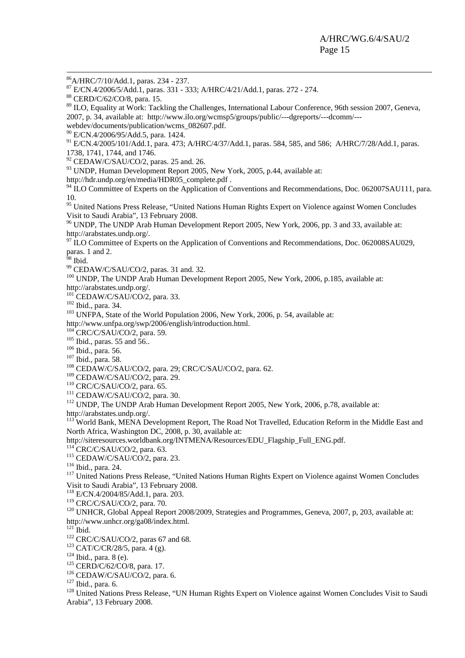86A/HRC/7/10/Add.1, paras. 234 - 237.

87 E/CN.4/2006/5/Add.1, paras. 331 - 333; A/HRC/4/21/Add.1, paras. 272 - 274.

<sup>89</sup> ILO, Equality at Work: Tackling the Challenges, International Labour Conference, 96th session 2007, Geneva, 2007, p. 34, available at: [http://www.ilo.org/wcmsp5/groups/public/---dgreports/---dcomm/---](http://www.ilo.org/wcmsp5/groups/public/---dgreports/---dcomm/---webdev/documents/publication/wcms_082607.pdf)

 $^{90}$  $^{90}$  $^{90}$  E/CN.4/2006/95/Add.5, para. 1424.

<sup>91</sup> E/CN.4/2005/101/Add.1, para. 473; A/HRC/4/37/Add.1, paras. 584, 585, and 586; A/HRC/7/28/Add.1, paras. 1738, 1741, 1744, and 1746.

 $92$  CEDAW/C/SAU/CO/2, paras. 25 and. 26.

<sup>93</sup> UNDP, Human Development Report 2005, New York, 2005, p.44, available at:<br>http://hdr.undp.org/en/media/HDR05\_complete.pdf.

 $h^4$  ILO Committee of Experts on the Application of Conventions and Recommendations, Doc. 062007SAU111, para. 10.

<sup>95</sup> United Nations Press Release, "United Nations Human Rights Expert on Violence against Women Concludes Visit to Saudi Arabia", 13 February 2008.

<sup>96</sup> UNDP, The UNDP Arab Human Development Report 2005, New York, 2006, pp. 3 and 33, available at:

[http://arabstates.undp.org/.](http://arabstates.undp.org/)<br><sup>[97](http://arabstates.undp.org/)</sup> ILO Committee of Experts on the Application of Conventions and Recommendations, Doc. 062008SAU029, paras. 1 and 2.

 $98$  Ibid.

99 CEDAW/C/SAU/CO/2, paras. 31 and. 32.

<sup>100</sup> UNDP, The UNDP Arab Human Development Report 2005, New York, 2006, p.185, available at:

[http://arabstates.undp.org/.](http://arabstates.undp.org/)<br><sup>[101](http://arabstates.undp.org/)</sup> CEDAW/C/SAU/CO/2, para. 33.<br><sup>102</sup> Ibid., para. 34. <sup>103</sup> UNFPA, State of the World Population 2006, New York, 2006, p. 54, available at:

<http://www.unfpa.org/swp/2006/english/introduction.html>.<br><sup>[104](http://www.unfpa.org/swp/2006/english/introduction.html)</sup> CRC/C/SAU/CO/2, para. 59.<br><sup>105</sup> Ibid., para. 55 and 56..<br><sup>106</sup> Ibid., para. 58. <sup>107</sup> Ibid., para. 58. 1<sup>08</sup> CEDAW/C/SAU/CO/2, para. 29; CRC/C/SAU/CO/2, para.

<sup>110</sup> CRC/C/SAU/CO/2, para. 65.<br><sup>111</sup> CEDAW/C/SAU/CO/2, para. 30.<br><sup>112</sup> UNDP, The UNDP Arab Human Development Report 2005, New York, 2006, p.78, available at:

[http://arabstates.undp.org/.](http://arabstates.undp.org/)<br><sup>[113](http://arabstates.undp.org/)</sup> World Bank, MENA Development Report, The Road Not Travelled, Education Reform in the Middle East and North Africa, Washington DC, 2008, p. 30, available at:<br>http://siteresources.worldbank.org/INTMENA/Resources/EDU\_Flagship\_Full\_ENG.pdf.

<sup>[114](http://siteresources.worldbank.org/INTMENA/Resources/EDU_Flagship_Full_ENG.pdf)</sup> CRC/C/SAU/CO/2, para. 63.<br><sup>115</sup> CEDAW/C/SAU/CO/2, para. 23.<br><sup>116</sup> Ibid., para. 24.<br><sup>117</sup> United Nations Press Release, "United Nations Human Rights Expert on Violence against Women Concludes Visit to Saudi Arabia", 13 February 2008.

<sup>118</sup> E/CN.4/2004/85/Add.1, para. 203.<br><sup>119</sup> CRC/C/SAU/CO/2, para. 70.

<sup>120</sup> UNHCR, Global Appeal Report 2008/2009, Strategies and Programmes, Geneva, 2007, p, 203, available at:<br>http://www.unhcr.org/ga08/index.html.

<sup>[121](http://www.unhcr.org/ga08/index.html)</sup> Ibid.<br>
<sup>122</sup> CRC/C/SAU/CO/2, paras 67 and 68.<br>
<sup>123</sup> CAT/C/CR/28/5, para. 4 (g).<br>
<sup>124</sup> Ibid., para. 8 (e).<br>
<sup>125</sup> CERD/C/62/CO/8, para. 17.<br>
<sup>126</sup> CEDAW/C/SAU/CO/2, para. 6.<br>
<sup>127</sup> Ibid., para. 6.<br>
<sup>127</sup> Ibid., par Arabia", 13 February 2008.

<sup>88</sup> CERD/C/62/CO/8, para. 15.